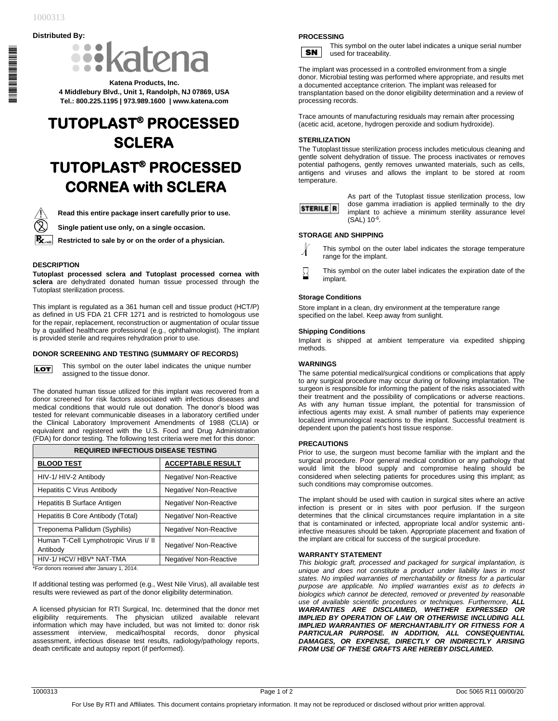\*1000313\*

# **Distributed By:**



**Katena Products, Inc. 4 Middlebury Blvd., Unit 1, Randolph, NJ 07869, USA Tel.: 800.225.1195 | 973.989.1600 | www.katena.com**

# **TUTOPLAST® PROCESSED SCLERA TUTOPLAST® PROCESSED CORNEA with SCLERA**



**Read this entire package insert carefully prior to use.**

**Single patient use only, on a single occasion.**

**Restricted to sale by or on the order of a physician.**

## **DESCRIPTION**

**Tutoplast processed sclera and Tutoplast processed cornea with sclera** are dehydrated donated human tissue processed through the Tutoplast sterilization process.

This implant is regulated as a 361 human cell and tissue product (HCT/P) as defined in US FDA 21 CFR 1271 and is restricted to homologous use for the repair, replacement, reconstruction or augmentation of ocular tissue by a qualified healthcare professional (e.g., ophthalmologist). The implant is provided sterile and requires rehydration prior to use.

#### **DONOR SCREENING AND TESTING (SUMMARY OF RECORDS)**

This symbol on the outer label indicates the unique number **LOT** assigned to the tissue donor.

The donated human tissue utilized for this implant was recovered from a donor screened for risk factors associated with infectious diseases and medical conditions that would rule out donation. The donor's blood was tested for relevant communicable diseases in a laboratory certified under the Clinical Laboratory Improvement Amendments of 1988 (CLIA) or equivalent and registered with the U.S. Food and Drug Administration (FDA) for donor testing. The following test criteria were met for this donor:

| <b>REQUIRED INFECTIOUS DISEASE TESTING</b>        |                          |
|---------------------------------------------------|--------------------------|
| <b>BLOOD TEST</b>                                 | <b>ACCEPTABLE RESULT</b> |
| HIV-1/ HIV-2 Antibody                             | Negative/ Non-Reactive   |
| <b>Hepatitis C Virus Antibody</b>                 | Negative/ Non-Reactive   |
| Hepatitis B Surface Antigen                       | Negative/ Non-Reactive   |
| Hepatitis B Core Antibody (Total)                 | Negative/ Non-Reactive   |
| Treponema Pallidum (Syphilis)                     | Negative/ Non-Reactive   |
| Human T-Cell Lymphotropic Virus I/ II<br>Antibody | Negative/ Non-Reactive   |
| HIV-1/ HCV/ HBV* NAT-TMA                          | Negative/ Non-Reactive   |

\*For donors received after January 1, 2014.

If additional testing was performed (e.g., West Nile Virus), all available test results were reviewed as part of the donor eligibility determination.

A licensed physician for RTI Surgical, Inc. determined that the donor met eligibility requirements. The physician utilized available relevant information which may have included, but was not limited to: donor risk assessment interview, medical/hospital records, donor physical assessment, infectious disease test results, radiology/pathology reports, death certificate and autopsy report (if performed).

# **PROCESSING**



This symbol on the outer label indicates a unique serial number used for traceability.

The implant was processed in a controlled environment from a single donor. Microbial testing was performed where appropriate, and results met a documented acceptance criterion. The implant was released for transplantation based on the donor eligibility determination and a review of processing records.

Trace amounts of manufacturing residuals may remain after processing (acetic acid, acetone, hydrogen peroxide and sodium hydroxide).

#### **STERILIZATION**

The Tutoplast tissue sterilization process includes meticulous cleaning and gentle solvent dehydration of tissue. The process inactivates or removes potential pathogens, gently removes unwanted materials, such as cells, antigens and viruses and allows the implant to be stored at room temperature.



As part of the Tutoplast tissue sterilization process, low dose gamma irradiation is applied terminally to the dry implant to achieve a minimum sterility assurance level  $(SAL) 10^{-6}$ .

#### **STORAGE AND SHIPPING**

This symbol on the outer label indicates the storage temperature range for the implant.

⊠ This symbol on the outer label indicates the expiration date of the implant.

#### **Storage Conditions**

Store implant in a clean, dry environment at the temperature range specified on the label. Keep away from sunlight.

## **Shipping Conditions**

Implant is shipped at ambient temperature via expedited shipping methods.

# **WARNINGS**

The same potential medical/surgical conditions or complications that apply to any surgical procedure may occur during or following implantation. The surgeon is responsible for informing the patient of the risks associated with their treatment and the possibility of complications or adverse reactions. As with any human tissue implant, the potential for transmission of infectious agents may exist. A small number of patients may experience localized immunological reactions to the implant. Successful treatment is dependent upon the patient's host tissue response.

#### **PRECAUTIONS**

Prior to use, the surgeon must become familiar with the implant and the surgical procedure. Poor general medical condition or any pathology that would limit the blood supply and compromise healing should be considered when selecting patients for procedures using this implant; as such conditions may compromise outcomes.

The implant should be used with caution in surgical sites where an active infection is present or in sites with poor perfusion. If the surgeon determines that the clinical circumstances require implantation in a site that is contaminated or infected, appropriate local and/or systemic antiinfective measures should be taken. Appropriate placement and fixation of the implant are critical for success of the surgical procedure.

#### **WARRANTY STATEMENT**

*This biologic graft, processed and packaged for surgical implantation, is unique and does not constitute a product under liability laws in most states. No implied warranties of merchantability or fitness for a particular purpose are applicable. No implied warranties exist as to defects in biologics which cannot be detected, removed or prevented by reasonable use of available scientific procedures or techniques. Furthermore*, *ALL WARRANTIES ARE DISCLAIMED, WHETHER EXPRESSED OR IMPLIED BY OPERATION OF LAW OR OTHERWISE INCLUDING ALL IMPLIED WARRANTIES OF MERCHANTABILITY OR FITNESS FOR A PARTICULAR PURPOSE. IN ADDITION, ALL CONSEQUENTIAL DAMAGES, OR EXPENSE, DIRECTLY OR INDIRECTLY ARISING FROM USE OF THESE GRAFTS ARE HEREBY DISCLAIMED.*